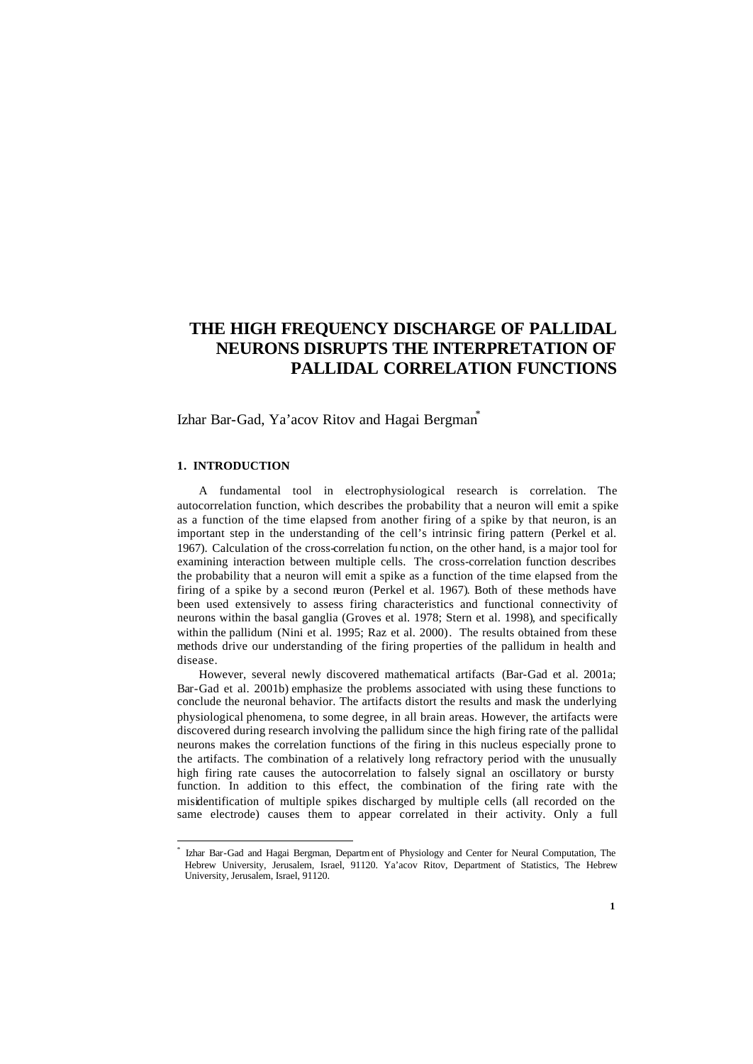# **THE HIGH FREQUENCY DISCHARGE OF PALLIDAL NEURONS DISRUPTS THE INTERPRETATION OF PALLIDAL CORRELATION FUNCTIONS**

Izhar Bar-Gad, Ya'acov Ritov and Hagai Bergman<sup>\*</sup>

## **1. INTRODUCTION**

A fundamental tool in electrophysiological research is correlation. The autocorrelation function, which describes the probability that a neuron will emit a spike as a function of the time elapsed from another firing of a spike by that neuron, is an important step in the understanding of the cell's intrinsic firing pattern (Perkel et al. 1967). Calculation of the cross-correlation fu nction, on the other hand, is a major tool for examining interaction between multiple cells. The cross-correlation function describes the probability that a neuron will emit a spike as a function of the time elapsed from the firing of a spike by a second neuron (Perkel et al. 1967). Both of these methods have been used extensively to assess firing characteristics and functional connectivity of neurons within the basal ganglia (Groves et al. 1978; Stern et al. 1998), and specifically within the pallidum (Nini et al. 1995; Raz et al. 2000). The results obtained from these methods drive our understanding of the firing properties of the pallidum in health and disease.

However, several newly discovered mathematical artifacts (Bar-Gad et al. 2001a; Bar-Gad et al. 2001b) emphasize the problems associated with using these functions to conclude the neuronal behavior. The artifacts distort the results and mask the underlying physiological phenomena, to some degree, in all brain areas. However, the artifacts were discovered during research involving the pallidum since the high firing rate of the pallidal neurons makes the correlation functions of the firing in this nucleus especially prone to the artifacts. The combination of a relatively long refractory period with the unusually high firing rate causes the autocorrelation to falsely signal an oscillatory or bursty function. In addition to this effect, the combination of the firing rate with the misidentification of multiple spikes discharged by multiple cells (all recorded on the same electrode) causes them to appear correlated in their activity. Only a full

<sup>\*</sup> Izhar Bar-Gad and Hagai Bergman, Departm ent of Physiology and Center for Neural Computation, The Hebrew University, Jerusalem, Israel, 91120. Ya'acov Ritov, Department of Statistics, The Hebrew University, Jerusalem, Israel, 91120.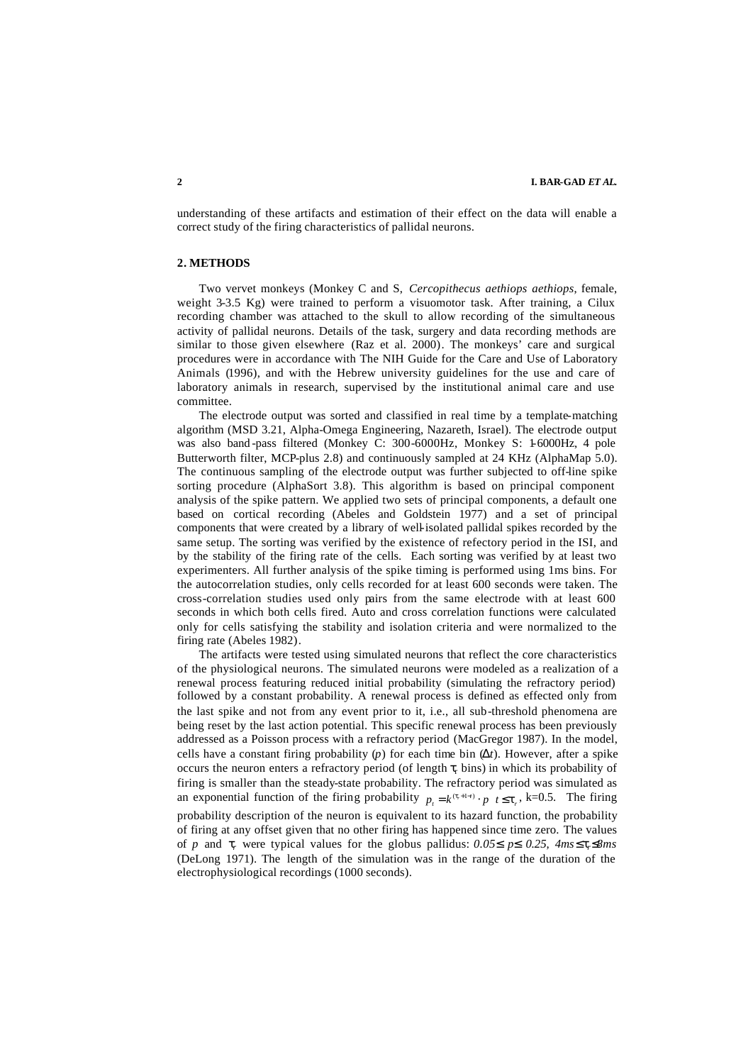understanding of these artifacts and estimation of their effect on the data will enable a correct study of the firing characteristics of pallidal neurons.

#### **2. METHODS**

Two vervet monkeys (Monkey C and S, *Cercopithecus aethiops aethiops*, female, weight 3-3.5 Kg) were trained to perform a visuomotor task. After training, a Cilux recording chamber was attached to the skull to allow recording of the simultaneous activity of pallidal neurons. Details of the task, surgery and data recording methods are similar to those given elsewhere (Raz et al. 2000). The monkeys' care and surgical procedures were in accordance with The NIH Guide for the Care and Use of Laboratory Animals (1996), and with the Hebrew university guidelines for the use and care of laboratory animals in research, supervised by the institutional animal care and use committee.

The electrode output was sorted and classified in real time by a template-matching algorithm (MSD 3.21, Alpha-Omega Engineering, Nazareth, Israel). The electrode output was also band -pass filtered (Monkey C: 300-6000Hz, Monkey S: 1-6000Hz, 4 pole Butterworth filter, MCP-plus 2.8) and continuously sampled at 24 KHz (AlphaMap 5.0). The continuous sampling of the electrode output was further subjected to off-line spike sorting procedure (AlphaSort 3.8). This algorithm is based on principal component analysis of the spike pattern. We applied two sets of principal components, a default one based on cortical recording (Abeles and Goldstein 1977) and a set of principal components that were created by a library of well-isolated pallidal spikes recorded by the same setup. The sorting was verified by the existence of refectory period in the ISI, and by the stability of the firing rate of the cells. Each sorting was verified by at least two experimenters. All further analysis of the spike timing is performed using 1ms bins. For the autocorrelation studies, only cells recorded for at least 600 seconds were taken. The cross-correlation studies used only pairs from the same electrode with at least 600 seconds in which both cells fired. Auto and cross correlation functions were calculated only for cells satisfying the stability and isolation criteria and were normalized to the firing rate (Abeles 1982).

The artifacts were tested using simulated neurons that reflect the core characteristics of the physiological neurons. The simulated neurons were modeled as a realization of a renewal process featuring reduced initial probability (simulating the refractory period) followed by a constant probability. A renewal process is defined as effected only from the last spike and not from any event prior to it, i.e., all sub-threshold phenomena are being reset by the last action potential. This specific renewal process has been previously addressed as a Poisson process with a refractory period (MacGregor 1987). In the model, cells have a constant firing probability  $(p)$  for each time bin  $(Dt)$ . However, after a spike occurs the neuron enters a refractory period (of length  $\tau_r$  bins) in which its probability of firing is smaller than the steady-state probability. The refractory period was simulated as an exponential function of the firing probability  $p_t = k^{(t+1-t)} \cdot p \neq t \leq t_r$ , k=0.5. The firing probability description of the neuron is equivalent to its hazard function, the probability of firing at any offset given that no other firing has happened since time zero. The values of *p* and  $t_r$  were typical values for the globus pallidus:  $0.05$ **£**  $p$ **£**  $0.25$ ,  $4ms$ **£** $t_r$ **£** $8ms$ (DeLong 1971). The length of the simulation was in the range of the duration of the electrophysiological recordings (1000 seconds).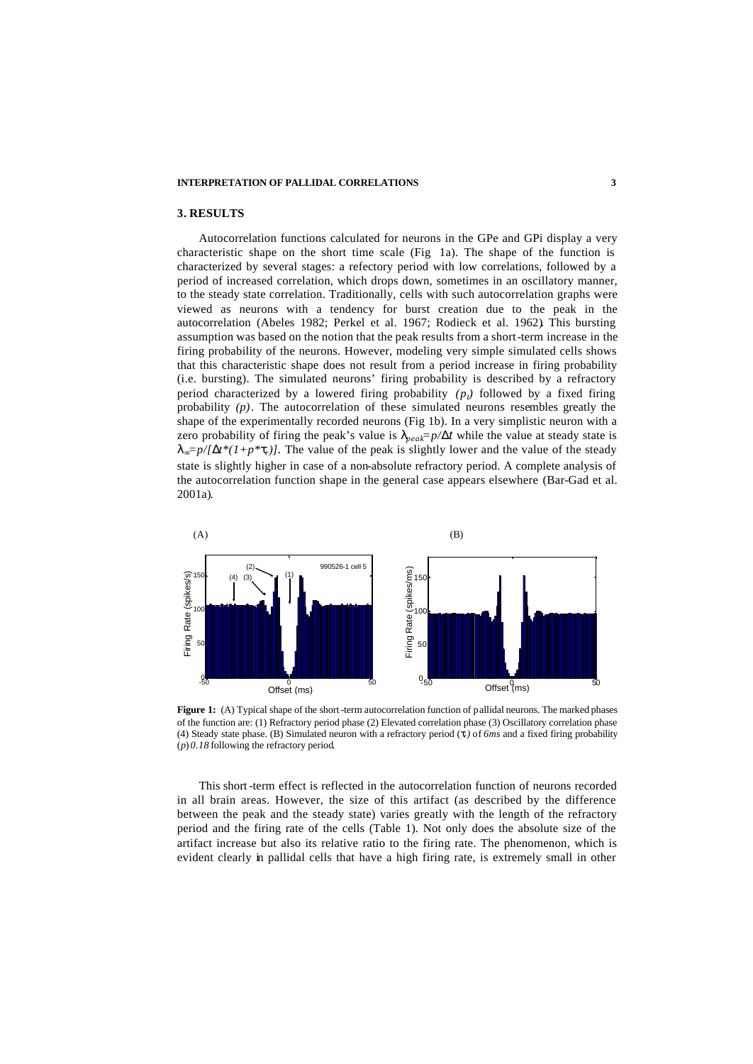#### **INTERPRETATION OF PALLIDAL CORRELATIONS 3**

## **3. RESULTS**

Autocorrelation functions calculated for neurons in the GPe and GPi display a very characteristic shape on the short time scale (Fig 1a). The shape of the function is characterized by several stages: a refectory period with low correlations, followed by a period of increased correlation, which drops down, sometimes in an oscillatory manner, to the steady state correlation. Traditionally, cells with such autocorrelation graphs were viewed as neurons with a tendency for burst creation due to the peak in the autocorrelation (Abeles 1982; Perkel et al. 1967; Rodieck et al. 1962). This bursting assumption was based on the notion that the peak results from a short-term increase in the firing probability of the neurons. However, modeling very simple simulated cells shows that this characteristic shape does not result from a period increase in firing probability (i.e. bursting). The simulated neurons' firing probability is described by a refractory period characterized by a lowered firing probability  $(p_t)$  followed by a fixed firing probability *(p)*. The autocorrelation of these simulated neurons resembles greatly the shape of the experimentally recorded neurons (Fig 1b). In a very simplistic neuron with a zero probability of firing the peak's value is  $I_{peak} = p/Dt$  while the value at steady state is  $\mathbf{I}_{\mathbf{X}} = p/\mathbf{D}t^*(1+p^*t_r)$ . The value of the peak is slightly lower and the value of the steady state is slightly higher in case of a non-absolute refractory period. A complete analysis of the autocorrelation function shape in the general case appears elsewhere (Bar-Gad et al. 2001a).



**Figure 1:** (A) Typical shape of the short-term autocorrelation function of pallidal neurons. The marked phases of the function are: (1) Refractory period phase (2) Elevated correlation phase (3) Oscillatory correlation phase (4) Steady state phase. (B) Simulated neuron with a refractory period (*tr)* of *6ms* and a fixed firing probability (*p*) *0.18* following the refractory period.

This short-term effect is reflected in the autocorrelation function of neurons recorded in all brain areas. However, the size of this artifact (as described by the difference between the peak and the steady state) varies greatly with the length of the refractory period and the firing rate of the cells (Table 1). Not only does the absolute size of the artifact increase but also its relative ratio to the firing rate. The phenomenon, which is evident clearly in pallidal cells that have a high firing rate, is extremely small in other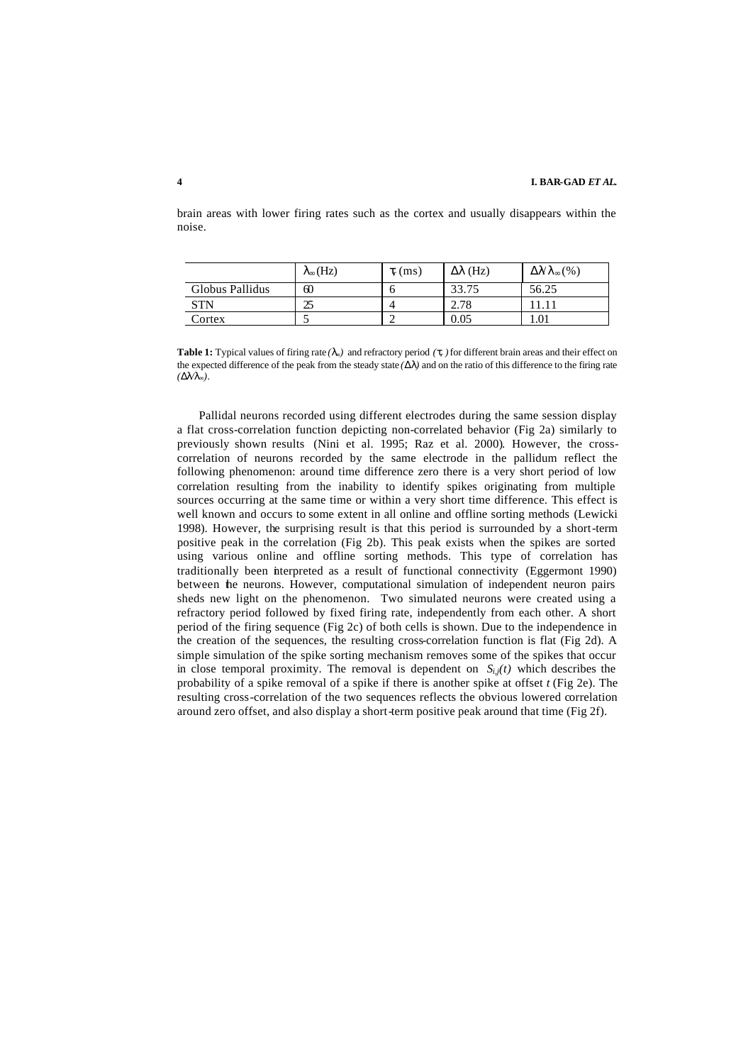|                 | $\lambda_{\infty}$ (Hz) | $t_{\rm r}$ (ms) | $\Delta\lambda$ (Hz) | $\Delta \mathcal{N} \lambda_{\infty} (\%)$ |
|-----------------|-------------------------|------------------|----------------------|--------------------------------------------|
| Globus Pallidus | 60                      | O                | 33.75                | 56.25                                      |
| STN             | אר                      |                  | n 70<br>2. I 8       |                                            |
| Cortex          |                         |                  | 0.05                 | 1.01                                       |

brain areas with lower firing rates such as the cortex and usually disappears within the noise.

**Table 1:** Typical values of firing rate  $(I_x)$  and refractory period  $(I_y)$  for different brain areas and their effect on the expected difference of the peak from the steady state  $(DI)$  and on the ratio of this difference to the firing rate  $(Dl/l_x)$ .

Pallidal neurons recorded using different electrodes during the same session display a flat cross-correlation function depicting non-correlated behavior (Fig 2a) similarly to previously shown results (Nini et al. 1995; Raz et al. 2000). However, the crosscorrelation of neurons recorded by the same electrode in the pallidum reflect the following phenomenon: around time difference zero there is a very short period of low correlation resulting from the inability to identify spikes originating from multiple sources occurring at the same time or within a very short time difference. This effect is well known and occurs to some extent in all online and offline sorting methods (Lewicki 1998). However, the surprising result is that this period is surrounded by a short-term positive peak in the correlation (Fig 2b). This peak exists when the spikes are sorted using various online and offline sorting methods. This type of correlation has traditionally been interpreted as a result of functional connectivity (Eggermont 1990) between the neurons. However, computational simulation of independent neuron pairs sheds new light on the phenomenon. Two simulated neurons were created using a refractory period followed by fixed firing rate, independently from each other. A short period of the firing sequence (Fig 2c) of both cells is shown. Due to the independence in the creation of the sequences, the resulting cross-correlation function is flat (Fig 2d). A simple simulation of the spike sorting mechanism removes some of the spikes that occur in close temporal proximity. The removal is dependent on  $S_{i,j}(t)$  which describes the probability of a spike removal of a spike if there is another spike at offset  $t$  (Fig 2e). The resulting cross-correlation of the two sequences reflects the obvious lowered correlation around zero offset, and also display a short-term positive peak around that time (Fig 2f).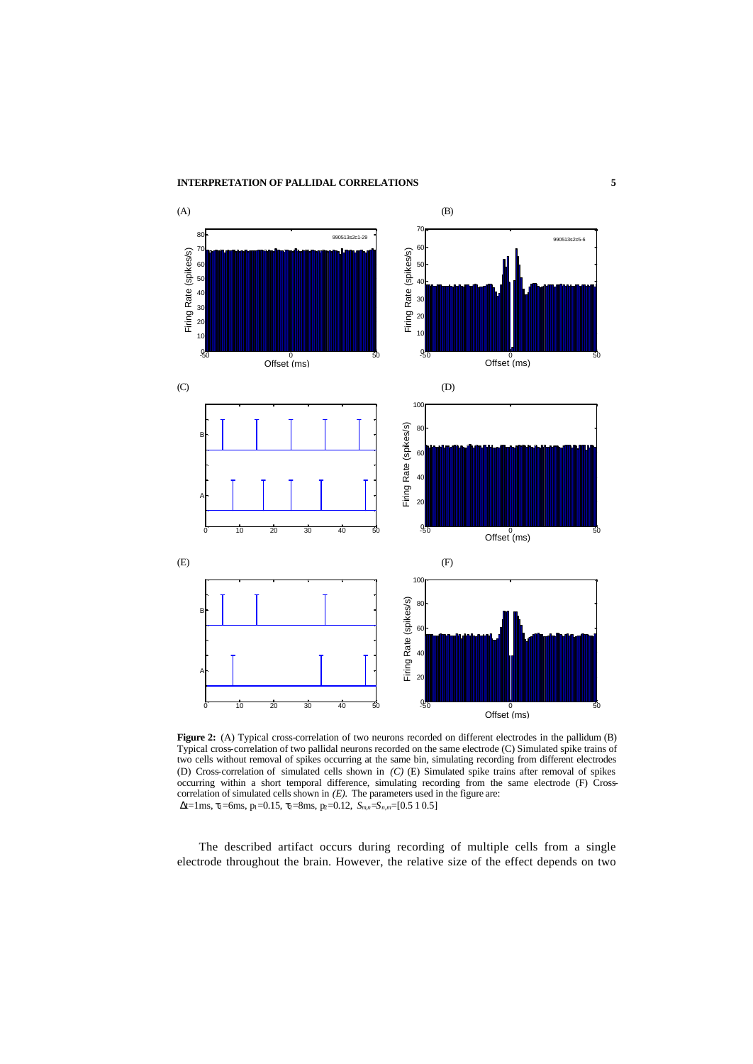

Figure 2: (A) Typical cross-correlation of two neurons recorded on different electrodes in the pallidum (B) Typical cross-correlation of two pallidal neurons recorded on the same electrode (C) Simulated spike trains of two cells without removal of spikes occurring at the same bin, simulating recording from different electrodes (D) Cross-correlation of simulated cells shown in *(C)* (E) Simulated spike trains after removal of spikes occurring within a short temporal difference, simulating recording from the same electrode (F) Crosscorrelation of simulated cells shown in  $(E)$ . The parameters used in the figure are: Δt=1ms, τ1=6ms, p1=0.15, τ2=8ms, p2=0.12, *Sm,n*=*Sn,m*=[0.5 1 0.5]

The described artifact occurs during recording of multiple cells from a single electrode throughout the brain. However, the relative size of the effect depends on two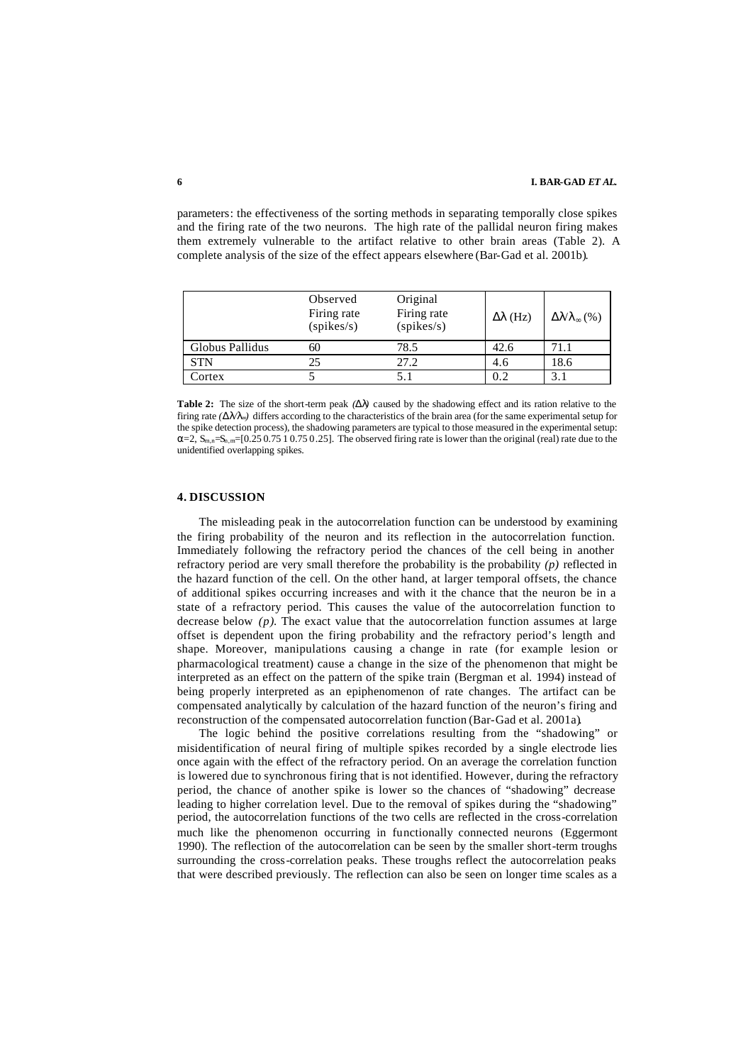parameters: the effectiveness of the sorting methods in separating temporally close spikes and the firing rate of the two neurons. The high rate of the pallidal neuron firing makes them extremely vulnerable to the artifact relative to other brain areas (Table 2). A complete analysis of the size of the effect appears elsewhere (Bar-Gad et al. 2001b).

|                 | Observed<br>Firing rate<br>(spikes/s) | Original<br>Firing rate<br>(spikes/s) | $\Delta\lambda$ (Hz) | $\Delta \mathcal{N}$ <sub>o</sub> (%) |
|-----------------|---------------------------------------|---------------------------------------|----------------------|---------------------------------------|
| Globus Pallidus | 60                                    | 78.5                                  | 42.6                 | 71.1                                  |
| <b>STN</b>      | 25                                    | 27.2                                  | 4.6                  | 18.6                                  |
| Cortex          |                                       |                                       | 0.2                  | 3.1                                   |

**Table 2:** The size of the short-term peak *(Dl)* caused by the shadowing effect and its ration relative to the firing rate  $(DL/L_x)$  differs according to the characteristics of the brain area (for the same experimental setup for the spike detection process), the shadowing parameters are typical to those measured in the experimental setup:  $\alpha$ =2,  $S_{m,n}$ = $[0.250.7510.7510.75]$ . The observed firing rate is lower than the original (real) rate due to the unidentified overlapping spikes.

## **4. DISCUSSION**

The misleading peak in the autocorrelation function can be understood by examining the firing probability of the neuron and its reflection in the autocorrelation function. Immediately following the refractory period the chances of the cell being in another refractory period are very small therefore the probability is the probability *(p)* reflected in the hazard function of the cell. On the other hand, at larger temporal offsets, the chance of additional spikes occurring increases and with it the chance that the neuron be in a state of a refractory period. This causes the value of the autocorrelation function to decrease below  $(p)$ . The exact value that the autocorrelation function assumes at large offset is dependent upon the firing probability and the refractory period's length and shape. Moreover, manipulations causing a change in rate (for example lesion or pharmacological treatment) cause a change in the size of the phenomenon that might be interpreted as an effect on the pattern of the spike train (Bergman et al. 1994) instead of being properly interpreted as an epiphenomenon of rate changes. The artifact can be compensated analytically by calculation of the hazard function of the neuron's firing and reconstruction of the compensated autocorrelation function (Bar-Gad et al. 2001a).

The logic behind the positive correlations resulting from the "shadowing" or misidentification of neural firing of multiple spikes recorded by a single electrode lies once again with the effect of the refractory period. On an average the correlation function is lowered due to synchronous firing that is not identified. However, during the refractory period, the chance of another spike is lower so the chances of "shadowing" decrease leading to higher correlation level. Due to the removal of spikes during the "shadowing" period, the autocorrelation functions of the two cells are reflected in the cross-correlation much like the phenomenon occurring in functionally connected neurons (Eggermont 1990). The reflection of the autocorrelation can be seen by the smaller short-term troughs surrounding the cross-correlation peaks. These troughs reflect the autocorrelation peaks that were described previously. The reflection can also be seen on longer time scales as a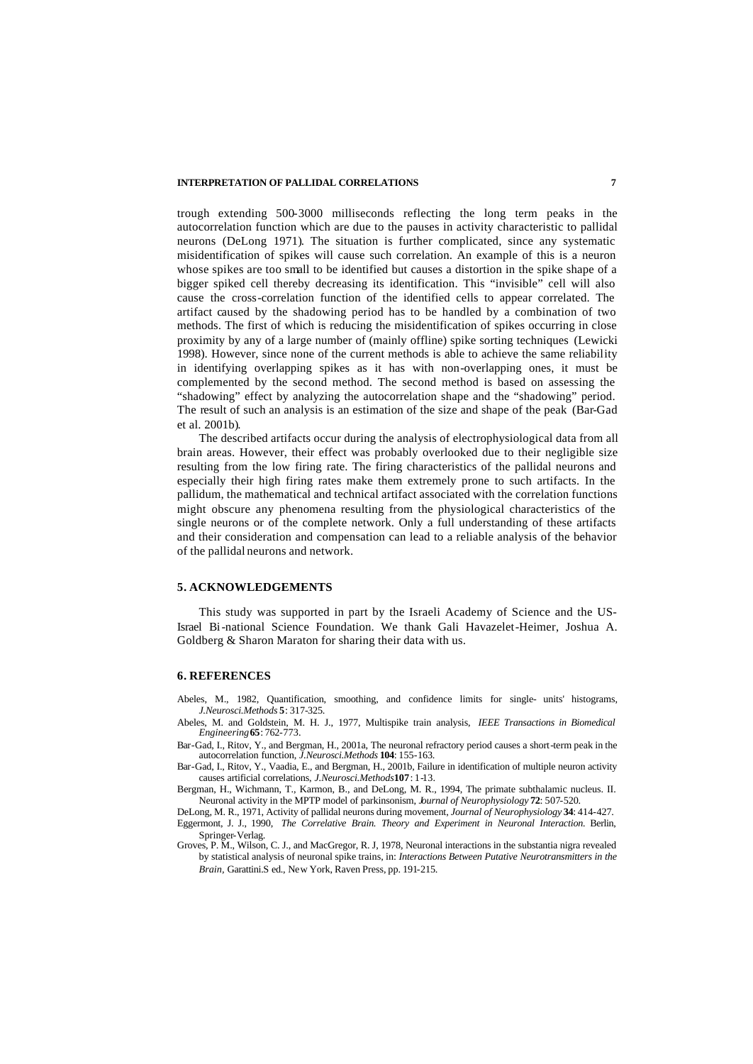#### **INTERPRETATION OF PALLIDAL CORRELATIONS 7**

trough extending 500-3000 milliseconds reflecting the long term peaks in the autocorrelation function which are due to the pauses in activity characteristic to pallidal neurons (DeLong 1971). The situation is further complicated, since any systematic misidentification of spikes will cause such correlation. An example of this is a neuron whose spikes are too small to be identified but causes a distortion in the spike shape of a bigger spiked cell thereby decreasing its identification. This "invisible" cell will also cause the cross-correlation function of the identified cells to appear correlated. The artifact caused by the shadowing period has to be handled by a combination of two methods. The first of which is reducing the misidentification of spikes occurring in close proximity by any of a large number of (mainly offline) spike sorting techniques (Lewicki 1998). However, since none of the current methods is able to achieve the same reliability in identifying overlapping spikes as it has with non-overlapping ones, it must be complemented by the second method. The second method is based on assessing the "shadowing" effect by analyzing the autocorrelation shape and the "shadowing" period. The result of such an analysis is an estimation of the size and shape of the peak (Bar-Gad et al. 2001b).

The described artifacts occur during the analysis of electrophysiological data from all brain areas. However, their effect was probably overlooked due to their negligible size resulting from the low firing rate. The firing characteristics of the pallidal neurons and especially their high firing rates make them extremely prone to such artifacts. In the pallidum, the mathematical and technical artifact associated with the correlation functions might obscure any phenomena resulting from the physiological characteristics of the single neurons or of the complete network. Only a full understanding of these artifacts and their consideration and compensation can lead to a reliable analysis of the behavior of the pallidal neurons and network.

### **5. ACKNOWLEDGEMENTS**

This study was supported in part by the Israeli Academy of Science and the US-Israel Bi-national Science Foundation. We thank Gali Havazelet-Heimer, Joshua A. Goldberg & Sharon Maraton for sharing their data with us.

#### **6. REFERENCES**

Abeles, M., 1982, Quantification, smoothing, and confidence limits for single- units' histograms, *J.Neurosci.Methods* **5**: 317-325.

- Abeles, M. and Goldstein, M. H. J., 1977, Multispike train analysis, *IEEE Transactions in Biomedical Engineering***65**: 762-773.
- Bar-Gad, I., Ritov, Y., and Bergman, H., 2001a, The neuronal refractory period causes a short-term peak in the autocorrelation function, *J.Neurosci.Methods* **104**: 155-163.
- Bar-Gad, I., Ritov, Y., Vaadia, E., and Bergman, H., 2001b, Failure in identification of multiple neuron activity causes artificial correlations, *J.Neurosci.Methods***107**: 1-13.

Bergman, H., Wichmann, T., Karmon, B., and DeLong, M. R., 1994, The primate subthalamic nucleus. II. Neuronal activity in the MPTP model of parkinsonism, *Journal of Neurophysiology* **72**: 507-520.

DeLong, M. R., 1971, Activity of pallidal neurons during movement, *Journal of Neurophysiology* **34**: 414-427. Eggermont, J. J., 1990, *The Correlative Brain. Theory and Experiment in Neuronal Interaction.* Berlin, Springer-Verlag.

Groves, P. M., Wilson, C. J., and MacGregor, R. J, 1978, Neuronal interactions in the substantia nigra revealed by statistical analysis of neuronal spike trains, in: *Interactions Between Putative Neurotransmitters in the Brain,* Garattini.S ed., New York, Raven Press, pp. 191-215.